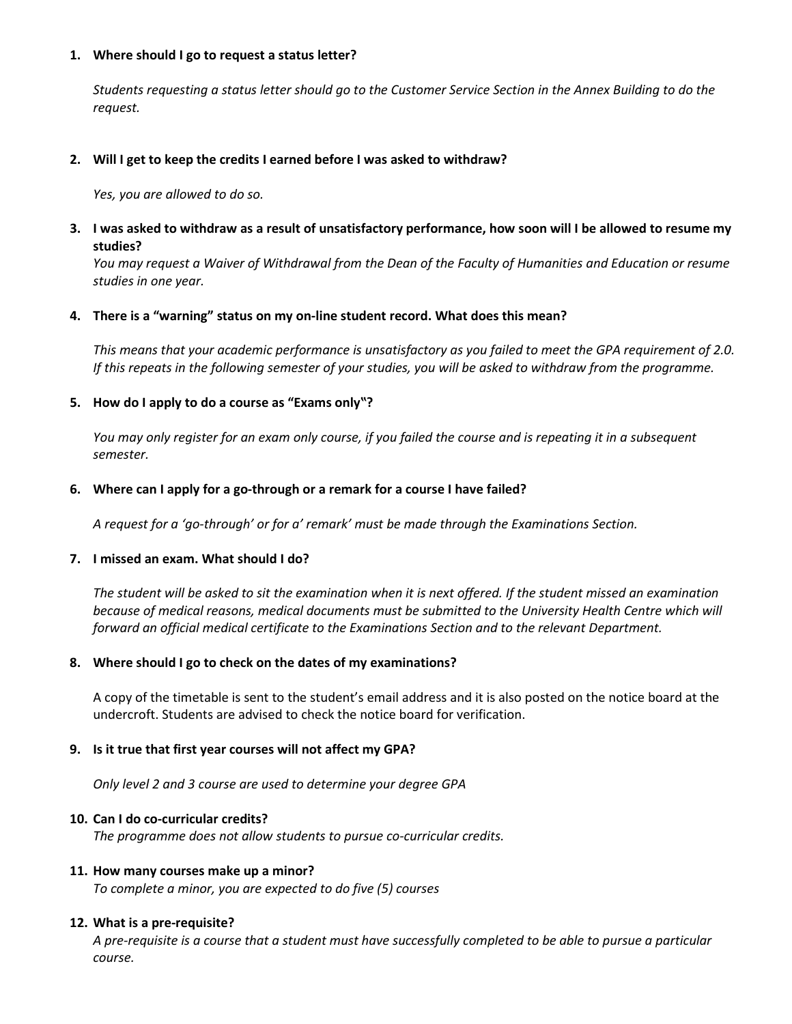## **1. Where should I go to request a status letter?**

*Students requesting a status letter should go to the Customer Service Section in the Annex Building to do the request.*

## **2. Will I get to keep the credits I earned before I was asked to withdraw?**

*Yes, you are allowed to do so.*

**3. I was asked to withdraw as a result of unsatisfactory performance, how soon will I be allowed to resume my studies?**

*You may request a Waiver of Withdrawal from the Dean of the Faculty of Humanities and Education or resume studies in one year.*

## **4. There is a "warning" status on my on-line student record. What does this mean?**

*This means that your academic performance is unsatisfactory as you failed to meet the GPA requirement of 2.0. If this repeats in the following semester of your studies, you will be asked to withdraw from the programme.*

# **5. How do I apply to do a course as "Exams only"?**

*You may only register for an exam only course, if you failed the course and is repeating it in a subsequent semester.*

## **6. Where can I apply for a go-through or a remark for a course I have failed?**

*A request for a 'go-through' or for a' remark' must be made through the Examinations Section.*

### **7. I missed an exam. What should I do?**

*The student will be asked to sit the examination when it is next offered. If the student missed an examination because of medical reasons, medical documents must be submitted to the University Health Centre which will forward an official medical certificate to the Examinations Section and to the relevant Department.*

# **8. Where should I go to check on the dates of my examinations?**

A copy of the timetable is sent to the student's email address and it is also posted on the notice board at the undercroft. Students are advised to check the notice board for verification.

# **9. Is it true that first year courses will not affect my GPA?**

*Only level 2 and 3 course are used to determine your degree GPA*

### **10. Can I do co-curricular credits?**

*The programme does not allow students to pursue co-curricular credits.*

# **11. How many courses make up a minor?**

*To complete a minor, you are expected to do five (5) courses*

### **12. What is a pre-requisite?**

*A pre-requisite is a course that a student must have successfully completed to be able to pursue a particular course.*